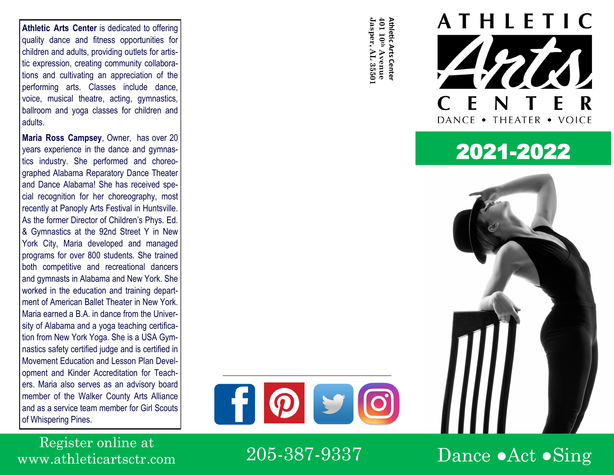**Athletic Arts Center** is dedicated to offering quality dance and fitness opportunities for children and adults, providing outlets for artistic expression, creating community collaborations and cultivating an appreciation of the performing arts. Classes include dance, voice, musical theatre, acting, gymnastics, ballroom and yoga classes for children and adults.

**Maria Ross Campsey**, Owner, has over 20 years experience in the dance and gymnastics industry. She performed and choreographed Alabama Reparatory Dance Theater and Dance Alabama! She has received special recognition for her choreography, most recently at Panoply Arts Festival in Huntsville. As the former Director of Children's Phys. Ed. & Gymnastics at the 92nd Street Y in New York City, Maria developed and managed programs for over 800 students. She trained both competitive and recreational dancers and gymnasts in Alabama and New York. She worked in the education and training department of American Ballet Theater in New York. Maria earned a B.A. in dance from the University of Alabama and a yoga teaching certification from New York Yoga. She is a USA Gymnastics safety certified judge and is certified in Movement Education and Lesson Plan Development and Kinder Accreditation for Teachers. Maria also serves as an advisory board member of the Walker County Arts Alliance and as a service team member for Girl Scouts of Whispering Pines.

**Jasper, AL 35501** Jasper, AL 35501







Register online at www.athleticartsctr.com

205-387-9337

Dance  $\bullet$ Act  $\bullet$ Sing